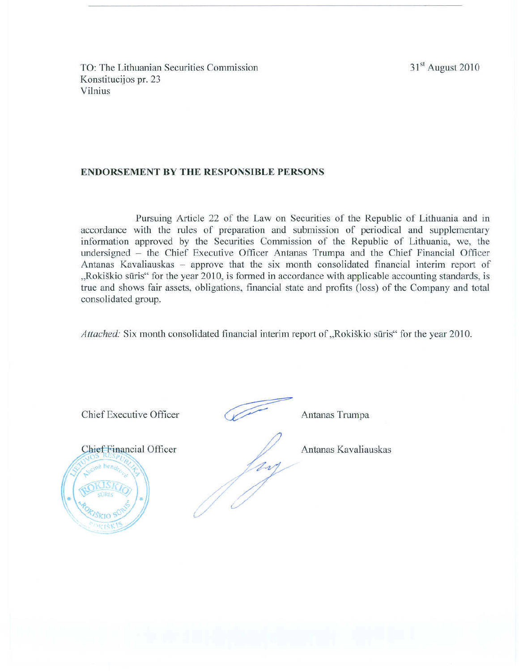31<sup>st</sup> August 2010

TO: The Lithuanian Securities Commission Konstitucijos pr. 23 Vilnius

### **ENDORSEMENT BY THE RESPONSIBLE PERSONS**

Pursuing Article 22 of the Law on Securities of the Republic of Lithuania and in accordance with the rules of preparation and submission of periodical and supplementary information approved by the Securities Commission of the Republic of Lithuania, we, the undersigned – the Chief Executive Officer Antanas Trumpa and the Chief Financial Officer Antanas Kavaliauskas - approve that the six month consolidated financial interim report of "Rokiškio sūris" for the year 2010, is formed in accordance with applicable accounting standards, is true and shows fair assets, obligations, financial state and profits (loss) of the Company and total consolidated group.

Attached: Six month consolidated financial interim report of "Rokiškio sūris" for the year 2010.

Chief Executive Officer Antanas Trumpa **Chief Financial Officer** Antanas Kavaliauskas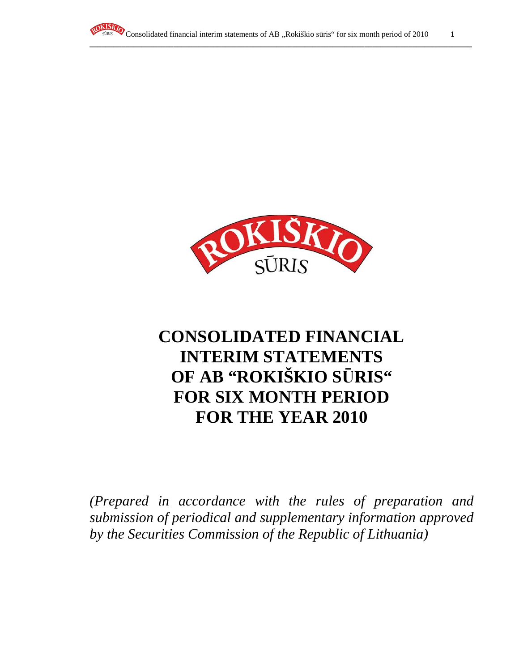



# **CONSOLIDATED FINANCIAL INTERIM STATEMENTS OF AB "ROKIŠKIO S**Ū**RIS" FOR SIX MONTH PERIOD FOR THE YEAR 2010**

*(Prepared in accordance with the rules of preparation and submission of periodical and supplementary information approved by the Securities Commission of the Republic of Lithuania)*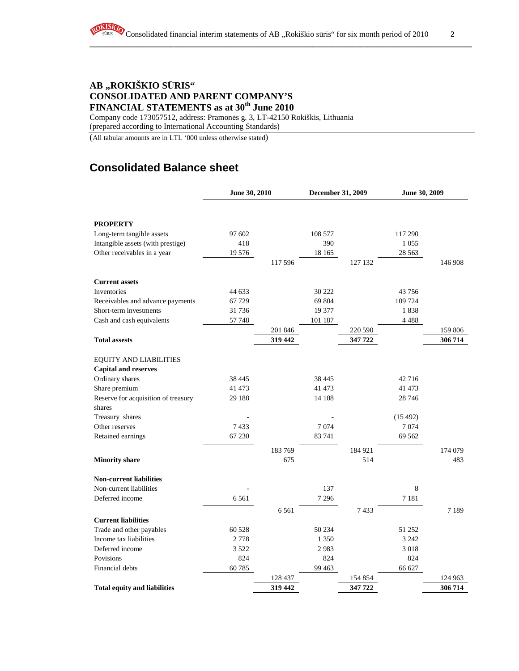# **AB "ROKIŠKIO S**Ū**RIS" CONSOLIDATED AND PARENT COMPANY'S FINANCIAL STATEMENTS as at 30th June 2010**

Company code 173057512, address: Pramonės g. 3, LT-42150 Rokiškis, Lithuania (prepared according to International Accounting Standards)

(All tabular amounts are in LTL '000 unless otherwise stated)

# **Consolidated Balance sheet**

|                                     | June 30, 2010 |         | December 31, 2009 |         | June 30, 2009 |         |
|-------------------------------------|---------------|---------|-------------------|---------|---------------|---------|
|                                     |               |         |                   |         |               |         |
| <b>PROPERTY</b>                     |               |         |                   |         |               |         |
| Long-term tangible assets           | 97 602        |         | 108 577           |         | 117 290       |         |
| Intangible assets (with prestige)   | 418           |         | 390               |         | 1 0 5 5       |         |
| Other receivables in a year         | 19576         |         | 18 165            |         | 28 5 63       |         |
|                                     |               | 117 596 |                   | 127 132 |               | 146 908 |
| <b>Current assets</b>               |               |         |                   |         |               |         |
| Inventories                         | 44 633        |         | 30 222            |         | 43 756        |         |
| Receivables and advance payments    | 67729         |         | 69 804            |         | 109 724       |         |
| Short-term investments              | 31736         |         | 19 377            |         | 1838          |         |
| Cash and cash equivalents           | 57748         |         | 101 187           |         | 4 4 8 8       |         |
|                                     |               | 201 846 |                   | 220 590 |               | 159 806 |
| <b>Total assests</b>                |               | 319 442 |                   | 347 722 |               | 306 714 |
| <b>EQUITY AND LIABILITIES</b>       |               |         |                   |         |               |         |
| <b>Capital and reserves</b>         |               |         |                   |         |               |         |
| Ordinary shares                     | 38 4 45       |         | 38 4 45           |         | 42716         |         |
| Share premium                       | 41 473        |         | 41 473            |         | 41 473        |         |
| Reserve for acquisition of treasury | 29 188        |         | 14 188            |         | 28 74 6       |         |
| shares                              |               |         |                   |         |               |         |
| Treasury shares                     |               |         |                   |         | (15492)       |         |
| Other reserves                      | 7433          |         | 7074              |         | 7074          |         |
| Retained earnings                   | 67 230        |         | 83 741            |         | 69 5 62       |         |
|                                     |               | 183 769 |                   | 184 921 |               | 174 079 |
| <b>Minority share</b>               |               | 675     |                   | 514     |               | 483     |
| <b>Non-current liabilities</b>      |               |         |                   |         |               |         |
| Non-current liabilities             |               |         | 137               |         | 8             |         |
| Deferred income                     | 6561          |         | 7 2 9 6           |         | 7 1 8 1       |         |
|                                     |               | 6 5 6 1 |                   | 7433    |               | 7189    |
| <b>Current liabilities</b>          |               |         |                   |         |               |         |
| Trade and other payables            | 60 528        |         | 50 234            |         | 51 252        |         |
| Income tax liabilities              | 2778          |         | 1 3 5 0           |         | 3 2 4 2       |         |
| Deferred income                     | 3 5 2 2       |         | 2983              |         | 3 0 1 8       |         |
| Povisions                           | 824           |         | 824               |         | 824           |         |
| Financial debts                     | 60785         |         | 99 4 63           |         | 66 627        |         |
|                                     |               | 128 437 |                   | 154 854 |               | 124 963 |
| <b>Total equity and liabilities</b> |               | 319 442 |                   | 347 722 |               | 306 714 |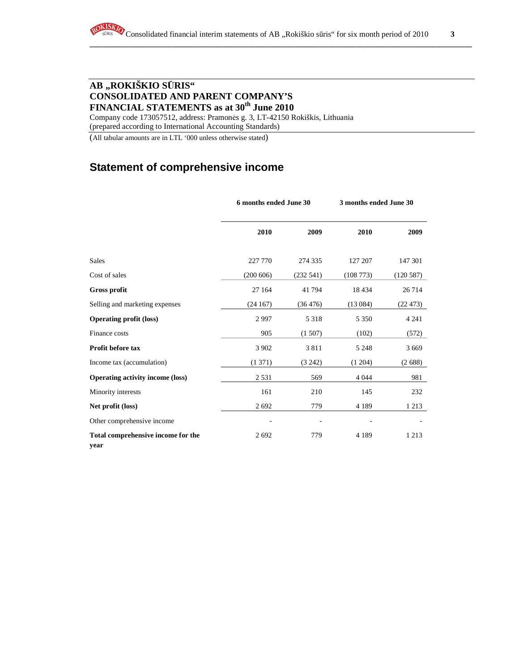# **AB "ROKIŠKIO S**Ū**RIS" CONSOLIDATED AND PARENT COMPANY'S FINANCIAL STATEMENTS as at 30th June 2010**

Company code 173057512, address: Pramonės g. 3, LT-42150 Rokiškis, Lithuania (prepared according to International Accounting Standards)

(All tabular amounts are in LTL '000 unless otherwise stated)

# **Statement of comprehensive income**

|                                            | 6 months ended June 30 |           | 3 months ended June 30 |          |
|--------------------------------------------|------------------------|-----------|------------------------|----------|
|                                            | 2010                   | 2009      | 2010                   | 2009     |
| Sales                                      | 227 770                | 274 335   | 127 207                | 147 301  |
| Cost of sales                              | (200 606)              | (232 541) | (108773)               | (120587) |
| <b>Gross profit</b>                        | 27 164                 | 41794     | 18 4 34                | 26714    |
| Selling and marketing expenses             | (24167)                | (36 476)  | (13084)                | (22473)  |
| <b>Operating profit (loss)</b>             | 2997                   | 5 3 1 8   | 5 3 5 0                | 4 2 4 1  |
| Finance costs                              | 905                    | (1507)    | (102)                  | (572)    |
| Profit before tax                          | 3 9 0 2                | 3811      | 5 2 4 8                | 3 6 6 9  |
| Income tax (accumulation)                  | (1371)                 | (3242)    | (1204)                 | (2688)   |
| <b>Operating activity income (loss)</b>    | 2 5 3 1                | 569       | 4 0 4 4                | 981      |
| Minority interests                         | 161                    | 210       | 145                    | 232      |
| Net profit (loss)                          | 2692                   | 779       | 4 1 8 9                | 1 2 1 3  |
| Other comprehensive income                 |                        |           |                        |          |
| Total comprehensive income for the<br>year | 2692                   | 779       | 4 1 8 9                | 1 2 1 3  |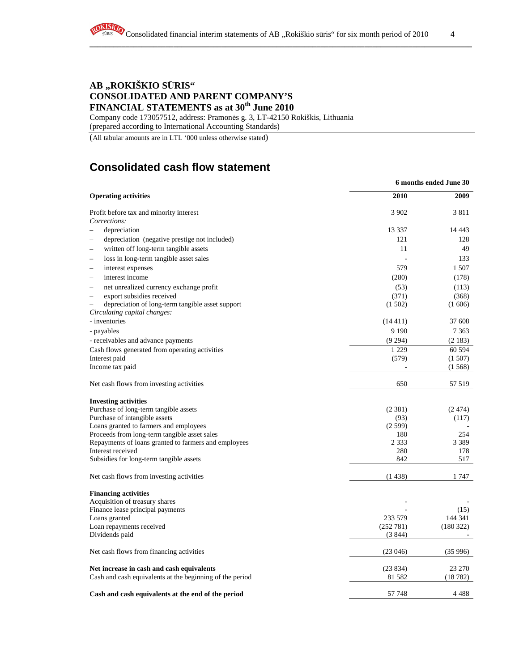# **AB "ROKIŠKIO S**Ū**RIS" CONSOLIDATED AND PARENT COMPANY'S FINANCIAL STATEMENTS as at 30th June 2010**

Company code 173057512, address: Pramonės g. 3, LT-42150 Rokiškis, Lithuania (prepared according to International Accounting Standards)

(All tabular amounts are in LTL '000 unless otherwise stated)

# **Consolidated cash flow statement**

|                                                                    | 6 months ended June 30 |            |  |  |
|--------------------------------------------------------------------|------------------------|------------|--|--|
| <b>Operating activities</b>                                        | 2010                   | 2009       |  |  |
| Profit before tax and minority interest                            | 3 9 0 2                | 3811       |  |  |
| Corrections:                                                       |                        |            |  |  |
| depreciation                                                       | 13 3 3 7               | 14 4 43    |  |  |
| depreciation (negative prestige not included)                      | 121                    | 128        |  |  |
| written off long-term tangible assets                              | 11                     | 49         |  |  |
| loss in long-term tangible asset sales<br>$\overline{\phantom{a}}$ |                        | 133        |  |  |
| interest expenses                                                  | 579                    | 1 507      |  |  |
| interest income<br>L.                                              | (280)                  | (178)      |  |  |
| net unrealized currency exchange profit                            | (53)                   | (113)      |  |  |
| export subsidies received                                          | (371)                  | (368)      |  |  |
| depreciation of long-term tangible asset support                   | (1502)                 | (1606)     |  |  |
| Circulating capital changes:                                       |                        |            |  |  |
| - inventories                                                      | (14411)                | 37 608     |  |  |
| - payables                                                         | 9 1 9 0                | 7 3 6 3    |  |  |
| - receivables and advance payments                                 | (9294)                 | (2183)     |  |  |
| Cash flows generated from operating activities                     | 1 2 2 9                | 60 5 94    |  |  |
| Interest paid                                                      | (579)                  | (1507)     |  |  |
| Income tax paid                                                    |                        | (1568)     |  |  |
| Net cash flows from investing activities                           | 650                    | 57 519     |  |  |
| <b>Investing activities</b>                                        |                        |            |  |  |
| Purchase of long-term tangible assets                              | (2381)                 | (2.474)    |  |  |
| Purchase of intangible assets                                      | (93)                   | (117)      |  |  |
| Loans granted to farmers and employees                             | (2599)                 |            |  |  |
| Proceeds from long-term tangible asset sales                       | 180                    | 254        |  |  |
| Repayments of loans granted to farmers and employees               | 2 3 3 3                | 3 3 8 9    |  |  |
| Interest received                                                  | 280<br>842             | 178<br>517 |  |  |
| Subsidies for long-term tangible assets                            |                        |            |  |  |
| Net cash flows from investing activities                           | (1438)                 | 1 747      |  |  |
| <b>Financing activities</b>                                        |                        |            |  |  |
| Acquisition of treasury shares                                     |                        |            |  |  |
| Finance lease principal payments                                   |                        | (15)       |  |  |
| Loans granted                                                      | 233 579                | 144 341    |  |  |
| Loan repayments received                                           | (252 781)              | (180 322)  |  |  |
| Dividends paid                                                     | (3844)                 |            |  |  |
| Net cash flows from financing activities                           | (23046)                | (35996)    |  |  |
| Net increase in cash and cash equivalents                          | (23834)                | 23 270     |  |  |
| Cash and cash equivalents at the beginning of the period           | 81 5 82                | (18782)    |  |  |
| Cash and cash equivalents at the end of the period                 | 57 748                 | 4 4 8 8    |  |  |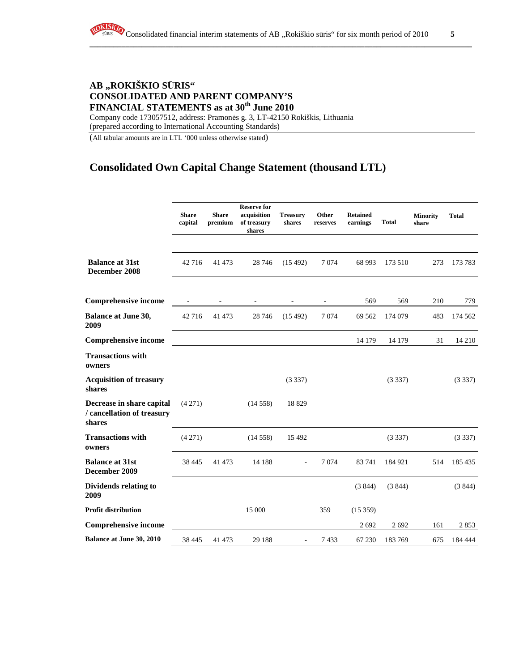# **AB "ROKIŠKIO S**Ū**RIS" CONSOLIDATED AND PARENT COMPANY'S FINANCIAL STATEMENTS as at 30th June 2010**

Company code 173057512, address: Pramonės g. 3, LT-42150 Rokiškis, Lithuania (prepared according to International Accounting Standards)

(All tabular amounts are in LTL '000 unless otherwise stated)

# **Consolidated Own Capital Change Statement (thousand LTL)**

|                                                                   | <b>Share</b><br>capital | <b>Share</b><br>premium | <b>Reserve for</b><br>acquisition<br>of treasury<br>shares | <b>Treasury</b><br>shares | Other<br>reserves        | <b>Retained</b><br>earnings | <b>Total</b> | <b>Minority</b><br>share | <b>Total</b> |
|-------------------------------------------------------------------|-------------------------|-------------------------|------------------------------------------------------------|---------------------------|--------------------------|-----------------------------|--------------|--------------------------|--------------|
| <b>Balance at 31st</b>                                            |                         |                         |                                                            |                           |                          |                             |              |                          |              |
| December 2008                                                     | 42 716                  | 41 473                  | 28 74 6                                                    | (15492)                   | 7 0 7 4                  | 68 993                      | 173 510      | 273                      | 173 783      |
| <b>Comprehensive income</b>                                       |                         |                         | $\overline{\phantom{a}}$                                   | $\overline{\phantom{a}}$  | $\overline{\phantom{a}}$ | 569                         | 569          | 210                      | 779          |
| <b>Balance at June 30,</b><br>2009                                | 42 716                  | 41 473                  | 28 74 6                                                    | (15492)                   | 7074                     | 69 5 62                     | 174 079      | 483                      | 174 562      |
| <b>Comprehensive income</b>                                       |                         |                         |                                                            |                           |                          | 14 179                      | 14 179       | 31                       | 14 210       |
| <b>Transactions with</b><br>owners                                |                         |                         |                                                            |                           |                          |                             |              |                          |              |
| <b>Acquisition of treasury</b><br>shares                          |                         |                         |                                                            | (3337)                    |                          |                             | (3337)       |                          | (3337)       |
| Decrease in share capital<br>/ cancellation of treasury<br>shares | (4271)                  |                         | (14558)                                                    | 18829                     |                          |                             |              |                          |              |
| <b>Transactions with</b><br>owners                                | (4271)                  |                         | (14558)                                                    | 15 4 92                   |                          |                             | (3337)       |                          | (3337)       |
| <b>Balance at 31st</b><br>December 2009                           | 38 4 45                 | 41 473                  | 14 188                                                     |                           | 7074                     | 83741                       | 184 921      | 514                      | 185 435      |
| Dividends relating to<br>2009                                     |                         |                         |                                                            |                           |                          | (3844)                      | (3844)       |                          | (3844)       |
| <b>Profit distribution</b>                                        |                         |                         | 15 000                                                     |                           | 359                      | (15359)                     |              |                          |              |
| <b>Comprehensive income</b>                                       |                         |                         |                                                            |                           |                          | 2692                        | 2692         | 161                      | 2853         |
| Balance at June 30, 2010                                          | 38 4 45                 | 41 473                  | 29 188                                                     |                           | 7433                     | 67 230                      | 183769       | 675                      | 184 444      |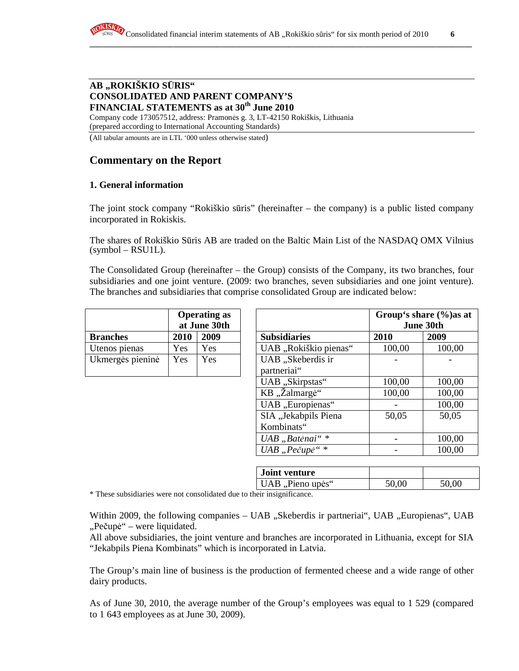### **AB "ROKIŠKIO S**Ū**RIS" CONSOLIDATED AND PARENT COMPANY'S FINANCIAL STATEMENTS as at 30th June 2010**

Company code 173057512, address: Pramonės g. 3, LT-42150 Rokiškis, Lithuania (prepared according to International Accounting Standards)

(All tabular amounts are in LTL '000 unless otherwise stated)

# **Commentary on the Report**

### **1. General information**

The joint stock company "Rokiškio sūris" (hereinafter – the company) is a public listed company incorporated in Rokiskis.

The shares of Rokiškio Sūris AB are traded on the Baltic Main List of the NASDAQ OMX Vilnius (symbol – RSU1L).

The Consolidated Group (hereinafter – the Group) consists of the Company, its two branches, four subsidiaries and one joint venture. (2009: two branches, seven subsidiaries and one joint venture). The branches and subsidiaries that comprise consolidated Group are indicated below:

|                  | <b>Operating as</b><br>at June 30th |            |                     |
|------------------|-------------------------------------|------------|---------------------|
| <b>Branches</b>  | 2010                                | 2009       | <b>Subsidiaries</b> |
| Utenos pienas    | Yes                                 | Yes        | UAB "Rokiškio pie   |
| Ukmergės pieninė | Yes                                 | <b>Yes</b> | UAB "Skeberdis ir   |
|                  |                                     |            | partneriai"         |

|                  |      | <b>Operating as</b><br>at June 30th |                                  | Group's share (%) as at | June 30th |
|------------------|------|-------------------------------------|----------------------------------|-------------------------|-----------|
| <b>Branches</b>  | 2010 | 2009                                | <b>Subsidiaries</b>              | 2010                    | 2009      |
| Utenos pienas    | Yes  | Yes                                 | UAB "Rokiškio pienas"            | 100,00                  | 100,00    |
| Ukmergės pieninė | Yes  | Yes                                 | UAB "Skeberdis ir<br>partneriai" |                         |           |
|                  |      |                                     | UAB "Skirpstas"                  | 100,00                  | 100,00    |
|                  |      |                                     | KB "Žalmargė"                    | 100,00                  | 100,00    |
|                  |      |                                     | UAB "Europienas"                 |                         | 100,00    |
|                  |      |                                     | SIA "Jekabpils Piena             | 50,05                   | 50,05     |
|                  |      |                                     | Kombinats"                       |                         |           |
|                  |      |                                     | UAB "Batėnai"*                   |                         | 100,00    |
|                  |      |                                     | UAB "Pečupė"*                    |                         | 100,00    |

| <b>Joint venture</b> |       |       |
|----------------------|-------|-------|
| UAB, Pieno upės"     | 50,00 | 50,00 |
|                      |       |       |

\* These subsidiaries were not consolidated due to their insignificance.

Within 2009, the following companies – UAB "Skeberdis ir partneriai", UAB "Europienas", UAB "Pečupė" – were liquidated.

All above subsidiaries, the joint venture and branches are incorporated in Lithuania, except for SIA "Jekabpils Piena Kombinats" which is incorporated in Latvia.

The Group's main line of business is the production of fermented cheese and a wide range of other dairy products.

As of June 30, 2010, the average number of the Group's employees was equal to 1 529 (compared to 1 643 employees as at June 30, 2009).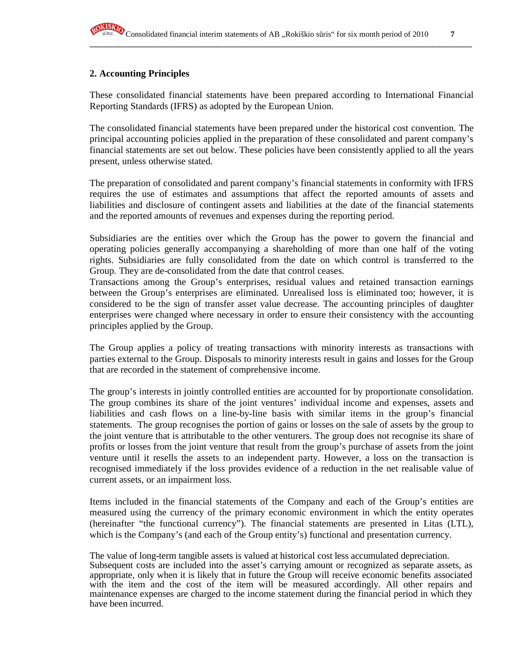### **2. Accounting Principles**

These consolidated financial statements have been prepared according to International Financial Reporting Standards (IFRS) as adopted by the European Union.

The consolidated financial statements have been prepared under the historical cost convention. The principal accounting policies applied in the preparation of these consolidated and parent company's financial statements are set out below. These policies have been consistently applied to all the years present, unless otherwise stated.

The preparation of consolidated and parent company's financial statements in conformity with IFRS requires the use of estimates and assumptions that affect the reported amounts of assets and liabilities and disclosure of contingent assets and liabilities at the date of the financial statements and the reported amounts of revenues and expenses during the reporting period.

Subsidiaries are the entities over which the Group has the power to govern the financial and operating policies generally accompanying a shareholding of more than one half of the voting rights. Subsidiaries are fully consolidated from the date on which control is transferred to the Group. They are de-consolidated from the date that control ceases.

Transactions among the Group's enterprises, residual values and retained transaction earnings between the Group's enterprises are eliminated. Unrealised loss is eliminated too; however, it is considered to be the sign of transfer asset value decrease. The accounting principles of daughter enterprises were changed where necessary in order to ensure their consistency with the accounting principles applied by the Group.

The Group applies a policy of treating transactions with minority interests as transactions with parties external to the Group. Disposals to minority interests result in gains and losses for the Group that are recorded in the statement of comprehensive income.

The group's interests in jointly controlled entities are accounted for by proportionate consolidation. The group combines its share of the joint ventures' individual income and expenses, assets and liabilities and cash flows on a line-by-line basis with similar items in the group's financial statements. The group recognises the portion of gains or losses on the sale of assets by the group to the joint venture that is attributable to the other venturers. The group does not recognise its share of profits or losses from the joint venture that result from the group's purchase of assets from the joint venture until it resells the assets to an independent party. However, a loss on the transaction is recognised immediately if the loss provides evidence of a reduction in the net realisable value of current assets, or an impairment loss.

Items included in the financial statements of the Company and each of the Group's entities are measured using the currency of the primary economic environment in which the entity operates (hereinafter "the functional currency"). The financial statements are presented in Litas (LTL), which is the Company's (and each of the Group entity's) functional and presentation currency.

The value of long-term tangible assets is valued at historical cost less accumulated depreciation. Subsequent costs are included into the asset's carrying amount or recognized as separate assets, as appropriate, only when it is likely that in future the Group will receive economic benefits associated with the item and the cost of the item will be measured accordingly. All other repairs and maintenance expenses are charged to the income statement during the financial period in which they have been incurred.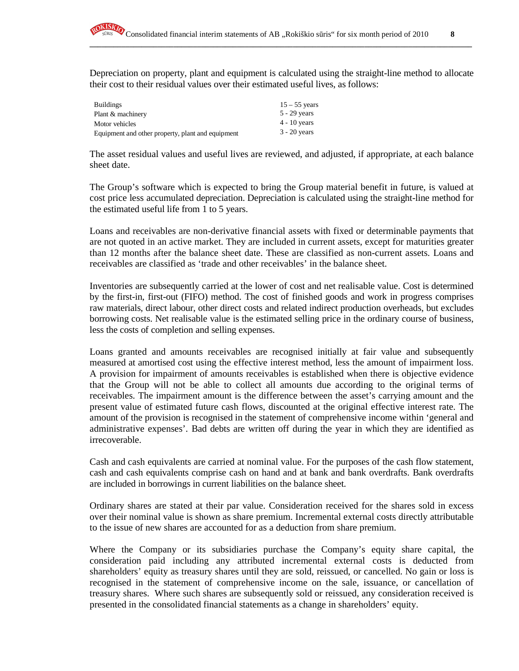Depreciation on property, plant and equipment is calculated using the straight-line method to allocate their cost to their residual values over their estimated useful lives, as follows:

**\_\_\_\_\_\_\_\_\_\_\_\_\_\_\_\_\_\_\_\_\_\_\_\_\_\_\_\_\_\_\_\_\_\_\_\_\_\_\_\_\_\_\_\_\_\_\_\_\_\_\_\_\_\_\_\_\_\_\_\_\_\_\_\_\_\_\_\_\_\_\_\_\_\_\_\_\_\_\_\_\_\_\_\_\_\_\_\_\_\_\_\_\_\_\_\_**

| <b>Buildings</b>                                  | $15 - 55$ years |
|---------------------------------------------------|-----------------|
| Plant & machinery                                 | $5 - 29$ years  |
| Motor vehicles                                    | $4 - 10$ years  |
| Equipment and other property, plant and equipment | $3 - 20$ years  |

The asset residual values and useful lives are reviewed, and adjusted, if appropriate, at each balance sheet date.

The Group's software which is expected to bring the Group material benefit in future, is valued at cost price less accumulated depreciation. Depreciation is calculated using the straight-line method for the estimated useful life from 1 to 5 years.

Loans and receivables are non-derivative financial assets with fixed or determinable payments that are not quoted in an active market. They are included in current assets, except for maturities greater than 12 months after the balance sheet date. These are classified as non-current assets. Loans and receivables are classified as 'trade and other receivables' in the balance sheet.

Inventories are subsequently carried at the lower of cost and net realisable value. Cost is determined by the first-in, first-out (FIFO) method. The cost of finished goods and work in progress comprises raw materials, direct labour, other direct costs and related indirect production overheads, but excludes borrowing costs. Net realisable value is the estimated selling price in the ordinary course of business, less the costs of completion and selling expenses.

Loans granted and amounts receivables are recognised initially at fair value and subsequently measured at amortised cost using the effective interest method, less the amount of impairment loss. A provision for impairment of amounts receivables is established when there is objective evidence that the Group will not be able to collect all amounts due according to the original terms of receivables. The impairment amount is the difference between the asset's carrying amount and the present value of estimated future cash flows, discounted at the original effective interest rate. The amount of the provision is recognised in the statement of comprehensive income within 'general and administrative expenses'. Bad debts are written off during the year in which they are identified as irrecoverable.

Cash and cash equivalents are carried at nominal value. For the purposes of the cash flow statement, cash and cash equivalents comprise cash on hand and at bank and bank overdrafts. Bank overdrafts are included in borrowings in current liabilities on the balance sheet.

Ordinary shares are stated at their par value. Consideration received for the shares sold in excess over their nominal value is shown as share premium. Incremental external costs directly attributable to the issue of new shares are accounted for as a deduction from share premium.

Where the Company or its subsidiaries purchase the Company's equity share capital, the consideration paid including any attributed incremental external costs is deducted from shareholders' equity as treasury shares until they are sold, reissued, or cancelled. No gain or loss is recognised in the statement of comprehensive income on the sale, issuance, or cancellation of treasury shares. Where such shares are subsequently sold or reissued, any consideration received is presented in the consolidated financial statements as a change in shareholders' equity.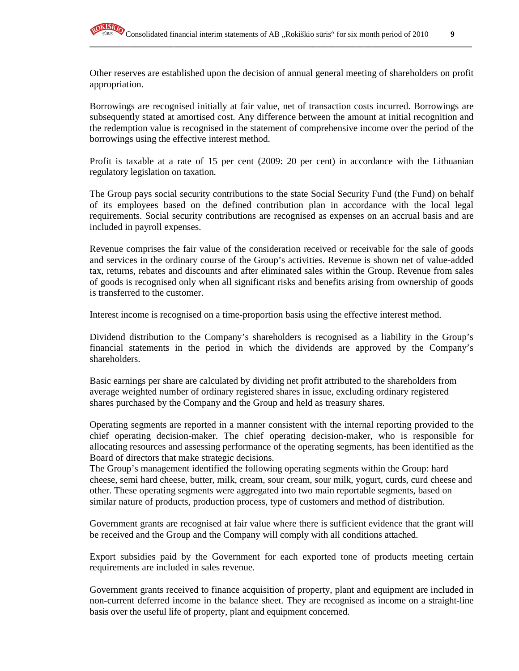

Other reserves are established upon the decision of annual general meeting of shareholders on profit appropriation.

Borrowings are recognised initially at fair value, net of transaction costs incurred. Borrowings are subsequently stated at amortised cost. Any difference between the amount at initial recognition and the redemption value is recognised in the statement of comprehensive income over the period of the borrowings using the effective interest method.

Profit is taxable at a rate of 15 per cent (2009: 20 per cent) in accordance with the Lithuanian regulatory legislation on taxation.

The Group pays social security contributions to the state Social Security Fund (the Fund) on behalf of its employees based on the defined contribution plan in accordance with the local legal requirements. Social security contributions are recognised as expenses on an accrual basis and are included in payroll expenses.

Revenue comprises the fair value of the consideration received or receivable for the sale of goods and services in the ordinary course of the Group's activities. Revenue is shown net of value-added tax, returns, rebates and discounts and after eliminated sales within the Group. Revenue from sales of goods is recognised only when all significant risks and benefits arising from ownership of goods is transferred to the customer.

Interest income is recognised on a time-proportion basis using the effective interest method.

Dividend distribution to the Company's shareholders is recognised as a liability in the Group's financial statements in the period in which the dividends are approved by the Company's shareholders.

Basic earnings per share are calculated by dividing net profit attributed to the shareholders from average weighted number of ordinary registered shares in issue, excluding ordinary registered shares purchased by the Company and the Group and held as treasury shares.

Operating segments are reported in a manner consistent with the internal reporting provided to the chief operating decision-maker. The chief operating decision-maker, who is responsible for allocating resources and assessing performance of the operating segments, has been identified as the Board of directors that make strategic decisions.

The Group's management identified the following operating segments within the Group: hard cheese, semi hard cheese, butter, milk, cream, sour cream, sour milk, yogurt, curds, curd cheese and other. These operating segments were aggregated into two main reportable segments, based on similar nature of products, production process, type of customers and method of distribution.

Government grants are recognised at fair value where there is sufficient evidence that the grant will be received and the Group and the Company will comply with all conditions attached.

Export subsidies paid by the Government for each exported tone of products meeting certain requirements are included in sales revenue.

Government grants received to finance acquisition of property, plant and equipment are included in non-current deferred income in the balance sheet. They are recognised as income on a straight-line basis over the useful life of property, plant and equipment concerned.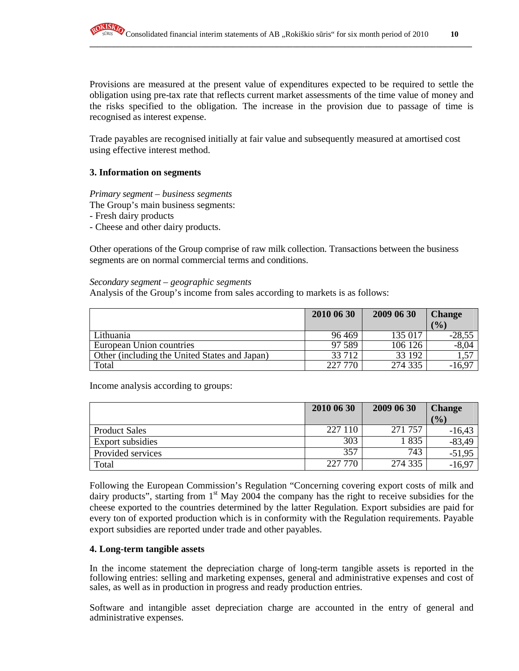Provisions are measured at the present value of expenditures expected to be required to settle the obligation using pre-tax rate that reflects current market assessments of the time value of money and the risks specified to the obligation. The increase in the provision due to passage of time is recognised as interest expense.

Trade payables are recognised initially at fair value and subsequently measured at amortised cost using effective interest method.

### **3. Information on segments**

*Primary segment – business segments* 

The Group's main business segments:

- Fresh dairy products
- Cheese and other dairy products.

Other operations of the Group comprise of raw milk collection. Transactions between the business segments are on normal commercial terms and conditions.

#### *Secondary segment – geographic segments*

Analysis of the Group's income from sales according to markets is as follows:

|                                               | 2010 06 30 | 2009 06 30 | <b>Change</b>     |
|-----------------------------------------------|------------|------------|-------------------|
|                                               |            |            | (9/0)             |
| Lithuania                                     | 96469      | 135 017    | $-28,55$          |
| European Union countries                      | 97 589     | 106 126    | $-8,04$           |
| Other (including the United States and Japan) | 33 712     | 33 192     | $\overline{1,57}$ |
| Total                                         | 227 770    | 274 335    | $-16.97$          |

Income analysis according to groups:

|                      | 2010 06 30 | 2009 06 30 | <b>Change</b> |
|----------------------|------------|------------|---------------|
|                      |            |            | (9/0)         |
| <b>Product Sales</b> | 227 110    | 271 757    | $-16,43$      |
| Export subsidies     | 303        | 835        | $-83,49$      |
| Provided services    | 357        | 743        | $-51,95$      |
| Total                | 227 770    | 274 335    | $-16,97$      |

Following the European Commission's Regulation "Concerning covering export costs of milk and dairy products", starting from  $1<sup>st</sup>$  May 2004 the company has the right to receive subsidies for the cheese exported to the countries determined by the latter Regulation. Export subsidies are paid for every ton of exported production which is in conformity with the Regulation requirements. Payable export subsidies are reported under trade and other payables.

#### **4. Long-term tangible assets**

In the income statement the depreciation charge of long-term tangible assets is reported in the following entries: selling and marketing expenses, general and administrative expenses and cost of sales, as well as in production in progress and ready production entries.

Software and intangible asset depreciation charge are accounted in the entry of general and administrative expenses.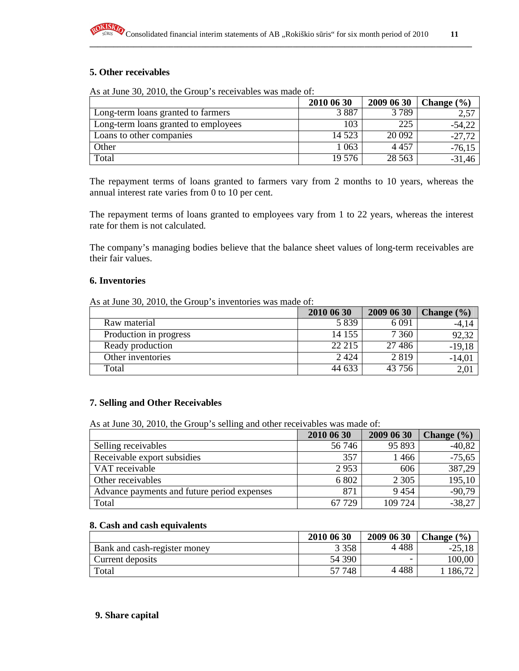# **5. Other receivables**

As at June 30, 2010, the Group's receivables was made of:

|                                      | 2010 06 30 | 2009 06 30 | Change $(\% )$ |
|--------------------------------------|------------|------------|----------------|
| Long-term loans granted to farmers   | 3887       | 3789       | 2,57           |
| Long-term loans granted to employees | 103        | 225        | $-54,22$       |
| Loans to other companies             | 14 523     | 20 092     | $-27,72$       |
| Other                                | 1 063      | 4 4 5 7    | $-76,15$       |
| Total                                | 19 576     | 28 5 63    | $-31,46$       |

The repayment terms of loans granted to farmers vary from 2 months to 10 years, whereas the annual interest rate varies from 0 to 10 per cent.

The repayment terms of loans granted to employees vary from 1 to 22 years, whereas the interest rate for them is not calculated.

The company's managing bodies believe that the balance sheet values of long-term receivables are their fair values.

#### **6. Inventories**

As at June 30, 2010, the Group's inventories was made of:

|                        | 2010 06 30 | 2009 06 30 | Change $(\% )$ |
|------------------------|------------|------------|----------------|
| Raw material           | 5839       | 6 0 9 1    | $-4,14$        |
| Production in progress | 14 155     | 7 3 6 0    | 92,32          |
| Ready production       | 22 215     | 27 4 8 6   | $-19,18$       |
| Other inventories      | 2 4 2 4    | 2819       | $-14,01$       |
| Total                  | 44 633     | 43 756     | 2,01           |

### **7. Selling and Other Receivables**

As at June 30, 2010, the Group's selling and other receivables was made of:

|                                             | 2010 06 30 | 2009 06 30 | Change $(\% )$ |
|---------------------------------------------|------------|------------|----------------|
| Selling receivables                         | 56 746     | 95 893     | $-40,82$       |
| Receivable export subsidies                 | 357        | 1466       | $-75,65$       |
| VAT receivable                              | 2953       | 606        | 387,29         |
| Other receivables                           | 6 802      | 2 3 0 5    | 195,10         |
| Advance payments and future period expenses | 871        | 9454       | $-90,79$       |
| Total                                       | 67 729     | 109 724    | $-38,27$       |

#### **8. Cash and cash equivalents**

|                              | 2010 06 30 | 2009 06 30 | Change $(\% )$  |
|------------------------------|------------|------------|-----------------|
| Bank and cash-register money | 3 3 5 8    | 4 488      | $-25,18$        |
| Current deposits             | 54 390     | -          | 100,00          |
| Total                        | 57 748     | 488        | $186,7^{\circ}$ |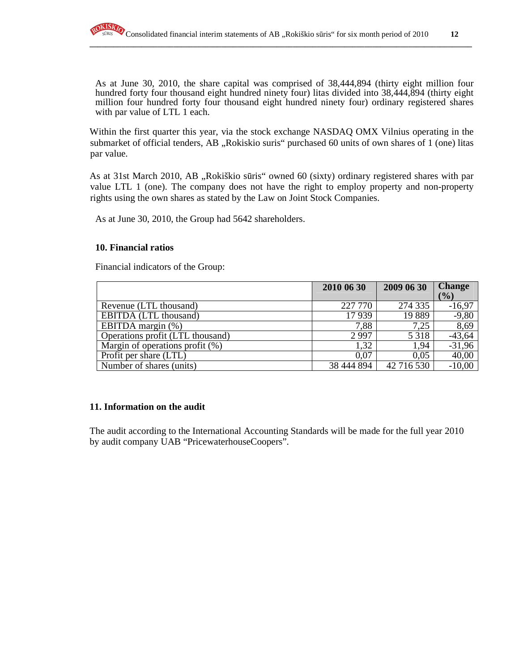As at June 30, 2010, the share capital was comprised of 38,444,894 (thirty eight million four hundred forty four thousand eight hundred ninety four) litas divided into 38,444,894 (thirty eight million four hundred forty four thousand eight hundred ninety four) ordinary registered shares with par value of LTL 1 each.

Within the first quarter this year, via the stock exchange NASDAQ OMX Vilnius operating in the submarket of official tenders, AB "Rokiskio suris" purchased 60 units of own shares of 1 (one) litas par value.

As at 31st March 2010, AB "Rokiškio sūris" owned 60 (sixty) ordinary registered shares with par value LTL 1 (one). The company does not have the right to employ property and non-property rights using the own shares as stated by the Law on Joint Stock Companies.

As at June 30, 2010, the Group had 5642 shareholders.

### **10. Financial ratios**

Financial indicators of the Group:

|                                    | 2010 06 30 | 2009 06 30 | <b>Change</b> |
|------------------------------------|------------|------------|---------------|
|                                    |            |            | (%)           |
| Revenue (LTL thousand)             | 227 770    | 274 335    | $-16,97$      |
| EBITDA (LTL thousand)              | 17939      | 19889      | $-9,80$       |
| EBITDA margin (%)                  | 7,88       | 7.25       | 8,69          |
| Operations profit (LTL thousand)   | 2997       | 5 3 1 8    | $-43,64$      |
| Margin of operations profit $(\%)$ | 1.32       | 1,94       | $-31,96$      |
| Profit per share (LTL)             | 0.07       | 0.05       | 40,00         |
| Number of shares (units)           | 38 444 894 | 42 716 530 | $-10,00$      |

# **11. Information on the audit**

The audit according to the International Accounting Standards will be made for the full year 2010 by audit company UAB "PricewaterhouseCoopers".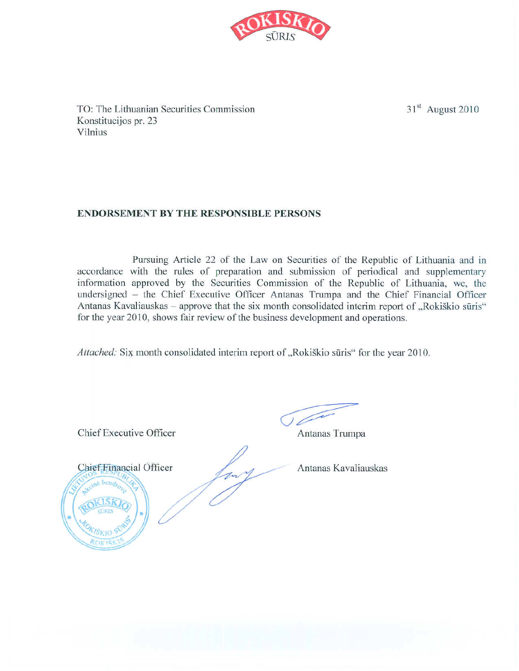

TO: The Lithuanian Securities Commission Konstitucijos pr. 23 Vilnius

# **ENDORSEMENT BY THE RESPONSIBLE PERSONS**

Pursuing Article 22 of the Law on Securities of the Republic of Lithuania and in accordance with the rules of preparation and submission of periodical and supplementary information approved by the Securities Commission of the Republic of Lithuania, we, the undersigned - the Chief Executive Officer Antanas Trumpa and the Chief Financial Officer Antanas Kavaliauskas - approve that the six month consolidated interim report of "Rokiškio sūris" for the year 2010, shows fair review of the business development and operations.

Attached: Six month consolidated interim report of "Rokiškio sūris" for the year 2010.

Chief Executive Officer

 $\sqrt{2}$ 

Antanas Trumpa



Antanas Kavaliauskas

 $31<sup>st</sup>$  August 2010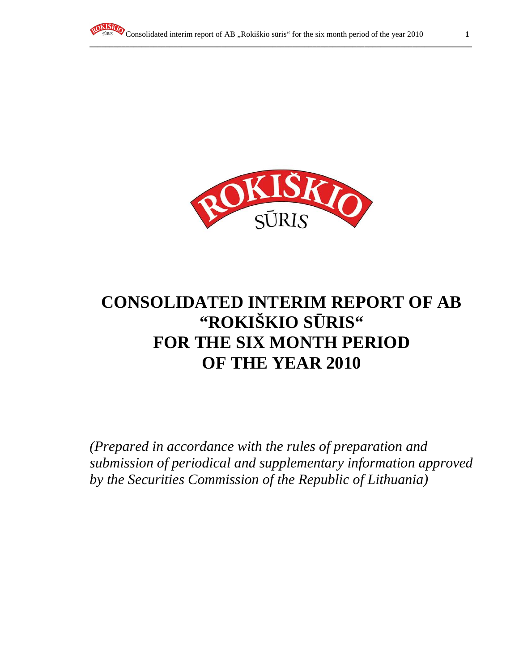



# **CONSOLIDATED INTERIM REPORT OF AB "ROKIŠKIO S**Ū**RIS" FOR THE SIX MONTH PERIOD OF THE YEAR 2010**

*(Prepared in accordance with the rules of preparation and submission of periodical and supplementary information approved by the Securities Commission of the Republic of Lithuania)*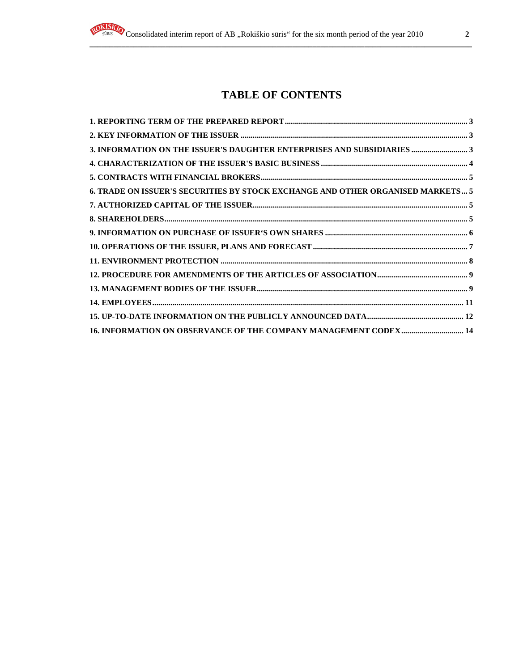# **TABLE OF CONTENTS**

**\_\_\_\_\_\_\_\_\_\_\_\_\_\_\_\_\_\_\_\_\_\_\_\_\_\_\_\_\_\_\_\_\_\_\_\_\_\_\_\_\_\_\_\_\_\_\_\_\_\_\_\_\_\_\_\_\_\_\_\_\_\_\_\_\_\_\_\_\_\_\_\_\_\_\_\_\_\_\_\_\_\_\_\_\_\_\_\_\_\_\_\_\_\_\_\_**

| 3. INFORMATION ON THE ISSUER'S DAUGHTER ENTERPRISES AND SUBSIDIARIES  3         |  |
|---------------------------------------------------------------------------------|--|
|                                                                                 |  |
|                                                                                 |  |
| 6. TRADE ON ISSUER'S SECURITIES BY STOCK EXCHANGE AND OTHER ORGANISED MARKETS 5 |  |
|                                                                                 |  |
|                                                                                 |  |
|                                                                                 |  |
|                                                                                 |  |
|                                                                                 |  |
|                                                                                 |  |
|                                                                                 |  |
|                                                                                 |  |
|                                                                                 |  |
| 16. INFORMATION ON OBSERVANCE OF THE COMPANY MANAGEMENT CODEX 14                |  |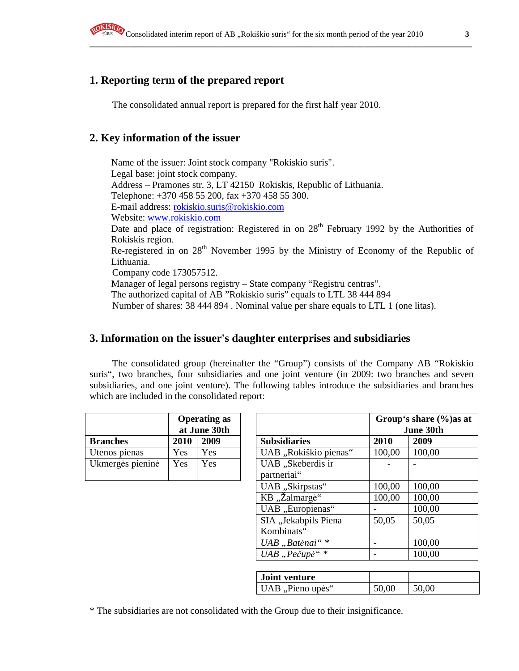# **1. Reporting term of the prepared report**

The consolidated annual report is prepared for the first half year 2010.

# **2. Key information of the issuer**

Name of the issuer: Joint stock company "Rokiskio suris". Legal base: joint stock company. Address – Pramones str. 3, LT 42150 Rokiskis, Republic of Lithuania. Telephone: +370 458 55 200, fax +370 458 55 300. E-mail address: rokiskio.suris@rokiskio.com Website: www.rokiskio.com Date and place of registration: Registered in on 28<sup>th</sup> February 1992 by the Authorities of Rokiskis region. Re-registered in on 28<sup>th</sup> November 1995 by the Ministry of Economy of the Republic of Lithuania. Company code 173057512. Manager of legal persons registry – State company "Registru centras". The authorized capital of AB "Rokiskio suris" equals to LTL 38 444 894 Number of shares: 38 444 894 . Nominal value per share equals to LTL 1 (one litas).

# **3. Information on the issuer's daughter enterprises and subsidiaries**

The consolidated group (hereinafter the "Group") consists of the Company AB "Rokiskio suris", two branches, four subsidiaries and one joint venture (in 2009: two branches and seven subsidiaries, and one joint venture). The following tables introduce the subsidiaries and branches which are included in the consolidated report:

|                  | <b>Operating as</b><br>at June 30th |      |                                  |
|------------------|-------------------------------------|------|----------------------------------|
| <b>Branches</b>  | 2010                                | 2009 | <b>Subsidiaries</b>              |
| Utenos pienas    | Yes                                 | Yes  | UAB "Rokiškio pie                |
| Ukmergės pieninė | Yes                                 | Yes  | UAB "Skeberdis ir<br>partneriai" |

| <b>Operating as</b><br>at June 30th |      |                                    | Group's share $\frac{6}{6}$ as at<br>June 30th |                       |        |        |
|-------------------------------------|------|------------------------------------|------------------------------------------------|-----------------------|--------|--------|
| <b>Branches</b>                     | 2010 | 2009                               |                                                | <b>Subsidiaries</b>   | 2010   | 2009   |
| Utenos pienas                       | Yes  | Yes                                |                                                | UAB "Rokiškio pienas" | 100,00 | 100,00 |
| Ukmergės pieninė                    | Yes  | Yes                                | UAB "Skeberdis ir<br>partneriai"               |                       |        |        |
|                                     |      | UAB "Skirpstas"                    | 100,00                                         | 100,00                |        |        |
|                                     |      | KB "Žalmargė"                      | 100,00                                         | 100,00                |        |        |
|                                     |      |                                    |                                                | UAB "Europienas"      |        | 100,00 |
|                                     |      | SIA "Jekabpils Piena<br>Kombinats" | 50,05                                          | 50,05                 |        |        |
|                                     |      | UAB "Batėnai"*                     |                                                | 100,00                |        |        |
|                                     |      | UAB "Pečupė"*                      |                                                | 100,00                |        |        |

| <b>Joint venture</b> |       |       |
|----------------------|-------|-------|
| UAB, Pieno upės"     | 50,00 | 50,00 |

\* The subsidiaries are not consolidated with the Group due to their insignificance.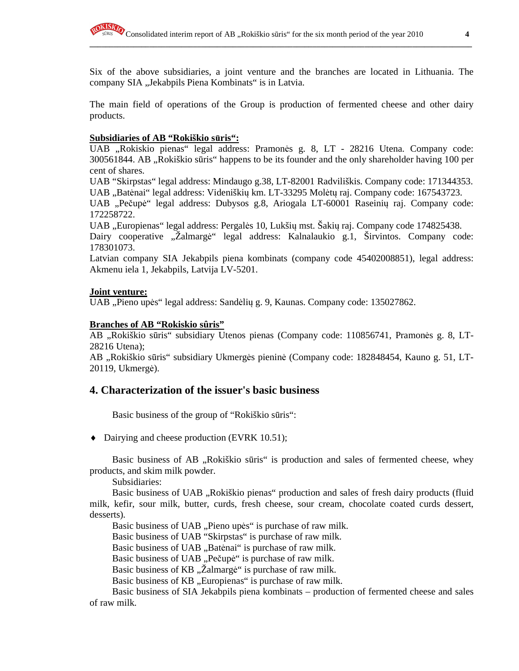Six of the above subsidiaries, a joint venture and the branches are located in Lithuania. The company SIA "Jekabpils Piena Kombinats" is in Latvia.

**\_\_\_\_\_\_\_\_\_\_\_\_\_\_\_\_\_\_\_\_\_\_\_\_\_\_\_\_\_\_\_\_\_\_\_\_\_\_\_\_\_\_\_\_\_\_\_\_\_\_\_\_\_\_\_\_\_\_\_\_\_\_\_\_\_\_\_\_\_\_\_\_\_\_\_\_\_\_\_\_\_\_\_\_\_\_\_\_\_\_\_\_\_\_\_\_**

The main field of operations of the Group is production of fermented cheese and other dairy products.

#### **Subsidiaries of AB "Rokiškio s**ū**ris":**

UAB "Rokiskio pienas" legal address: Pramonės g. 8, LT - 28216 Utena. Company code: 300561844. AB "Rokiškio sūris" happens to be its founder and the only shareholder having 100 per cent of shares.

UAB "Skirpstas" legal address: Mindaugo g.38, LT-82001 Radviliškis. Company code: 171344353. UAB "Batėnai" legal address: Videniškių km. LT-33295 Molėtų raj. Company code: 167543723.

UAB "Pečupė" legal address: Dubysos g.8, Ariogala LT-60001 Raseinių raj. Company code: 172258722.

UAB "Europienas" legal address: Pergalės 10, Lukšių mst. Šakių raj. Company code 174825438.

Dairy cooperative "Žalmargė" legal address: Kalnalaukio g.1, Širvintos. Company code: 178301073.

Latvian company SIA Jekabpils piena kombinats (company code 45402008851), legal address: Akmenu iela 1, Jekabpils, Latvija LV-5201.

#### **Joint venture:**

UAB "Pieno upės" legal address: Sandėlių g. 9, Kaunas. Company code: 135027862.

#### **Branches of AB "Rokiskio sûris"**

AB "Rokiškio sūris" subsidiary Utenos pienas (Company code: 110856741, Pramonės g. 8, LT-28216 Utena);

AB "Rokiškio sūris" subsidiary Ukmergės pieninė (Company code: 182848454, Kauno g. 51, LT-20119, Ukmergė).

### **4. Characterization of the issuer's basic business**

Basic business of the group of "Rokiškio sūris":

♦ Dairying and cheese production (EVRK 10.51);

Basic business of AB "Rokiškio sūris" is production and sales of fermented cheese, whey products, and skim milk powder.

Subsidiaries:

Basic business of UAB "Rokiškio pienas" production and sales of fresh dairy products (fluid milk, kefir, sour milk, butter, curds, fresh cheese, sour cream, chocolate coated curds dessert, desserts).

Basic business of UAB "Pieno upės" is purchase of raw milk.

Basic business of UAB "Skirpstas" is purchase of raw milk.

Basic business of UAB "Batėnai" is purchase of raw milk.

Basic business of UAB "Pečupė" is purchase of raw milk.

Basic business of KB "Žalmargė" is purchase of raw milk.

Basic business of KB, Europienas" is purchase of raw milk.

Basic business of SIA Jekabpils piena kombinats – production of fermented cheese and sales of raw milk.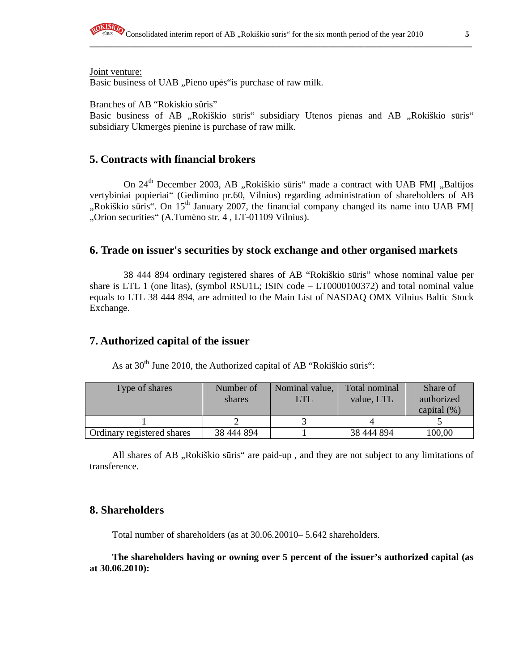

Joint venture:

Basic business of UAB "Pieno upės" is purchase of raw milk.

Branches of AB "Rokiskio sûris"

Basic business of AB "Rokiškio sūris" subsidiary Utenos pienas and AB "Rokiškio sūris" subsidiary Ukmergės pieninė is purchase of raw milk.

**\_\_\_\_\_\_\_\_\_\_\_\_\_\_\_\_\_\_\_\_\_\_\_\_\_\_\_\_\_\_\_\_\_\_\_\_\_\_\_\_\_\_\_\_\_\_\_\_\_\_\_\_\_\_\_\_\_\_\_\_\_\_\_\_\_\_\_\_\_\_\_\_\_\_\_\_\_\_\_\_\_\_\_\_\_\_\_\_\_\_\_\_\_\_\_\_**

### **5. Contracts with financial brokers**

On 24<sup>th</sup> December 2003, AB "Rokiškio sūris" made a contract with UAB FMĮ "Baltijos vertybiniai popieriai" (Gedimino pr.60, Vilnius) regarding administration of shareholders of AB  $R$ okiškio sūris". On 15<sup>th</sup> January 2007, the financial company changed its name into UAB FMI "Orion securities" (A.Tumėno str. 4, LT-01109 Vilnius).

### **6. Trade on issuer's securities by stock exchange and other organised markets**

38 444 894 ordinary registered shares of AB "Rokiškio sūris" whose nominal value per share is LTL 1 (one litas), (symbol RSU1L; ISIN code – LT0000100372) and total nominal value equals to LTL 38 444 894, are admitted to the Main List of NASDAQ OMX Vilnius Baltic Stock Exchange.

### **7. Authorized capital of the issuer**

As at  $30<sup>th</sup>$  June 2010, the Authorized capital of AB "Rokiškio sūris":

| Type of shares             | Number of<br>shares | Nominal value,<br>LTL | Total nominal<br>value, LTL | Share of<br>authorized<br>capital $(\% )$ |
|----------------------------|---------------------|-----------------------|-----------------------------|-------------------------------------------|
|                            |                     |                       |                             |                                           |
| Ordinary registered shares | 38 444 894          |                       | 38 444 894                  | 100,00                                    |

All shares of AB, Rokiškio sūris" are paid-up, and they are not subject to any limitations of transference.

### **8. Shareholders**

Total number of shareholders (as at 30.06.20010– 5.642 shareholders.

**The shareholders having or owning over 5 percent of the issuer's authorized capital (as at 30.06.2010):**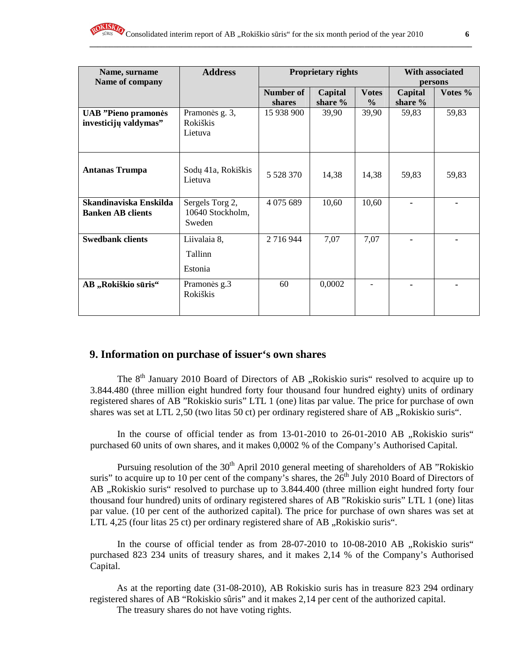| Name, surname<br>Name of company                    | <b>Address</b>                                |                     | Proprietary rights | With associated<br>persons    |                    |         |
|-----------------------------------------------------|-----------------------------------------------|---------------------|--------------------|-------------------------------|--------------------|---------|
|                                                     |                                               | Number of<br>shares | Capital<br>share % | <b>Votes</b><br>$\frac{6}{6}$ | Capital<br>share % | Votes % |
| <b>UAB</b> "Pieno pramonės<br>investicijų valdymas" | Pramonės g. 3,<br>Rokiškis<br>Lietuva         | 15 938 900          | 39,90              | 39,90                         | 59,83              | 59,83   |
| <b>Antanas Trumpa</b>                               | Sodų 41a, Rokiškis<br>Lietuva                 | 5 5 28 3 70         | 14,38              | 14,38                         | 59,83              | 59,83   |
| Skandinaviska Enskilda<br><b>Banken AB clients</b>  | Sergels Torg 2,<br>10640 Stockholm,<br>Sweden | 4 0 75 6 89         | 10,60              | 10,60                         |                    |         |
| <b>Swedbank clients</b>                             | Liivalaia 8,<br>Tallinn<br>Estonia            | 2 7 1 6 9 4 4       | 7,07               | 7,07                          |                    |         |
| AB "Rokiškio sūris"                                 | Pramonės g.3<br>Rokiškis                      | 60                  | 0,0002             |                               |                    |         |

# **9. Information on purchase of issuer's own shares**

The  $8<sup>th</sup>$  January 2010 Board of Directors of AB , Rokiskio suris" resolved to acquire up to 3.844.480 (three million eight hundred forty four thousand four hundred eighty) units of ordinary registered shares of AB "Rokiskio suris" LTL 1 (one) litas par value. The price for purchase of own shares was set at LTL 2,50 (two litas 50 ct) per ordinary registered share of AB "Rokiskio suris".

In the course of official tender as from 13-01-2010 to 26-01-2010 AB "Rokiskio suris" purchased 60 units of own shares, and it makes 0,0002 % of the Company's Authorised Capital.

Pursuing resolution of the 30<sup>th</sup> April 2010 general meeting of shareholders of AB "Rokiskio" suris" to acquire up to 10 per cent of the company's shares, the  $26<sup>th</sup>$  July 2010 Board of Directors of AB , Rokiskio suris" resolved to purchase up to 3.844.400 (three million eight hundred forty four thousand four hundred) units of ordinary registered shares of AB "Rokiskio suris" LTL 1 (one) litas par value. (10 per cent of the authorized capital). The price for purchase of own shares was set at LTL 4,25 (four litas  $25$  ct) per ordinary registered share of AB  $,$ Rokiskio suris".

In the course of official tender as from  $28-07-2010$  to  $10-08-2010$  AB  $, R$ okiskio suris" purchased 823 234 units of treasury shares, and it makes 2,14 % of the Company's Authorised Capital.

As at the reporting date (31-08-2010), AB Rokiskio suris has in treasure 823 294 ordinary registered shares of AB "Rokiskio sûris" and it makes 2,14 per cent of the authorized capital. The treasury shares do not have voting rights.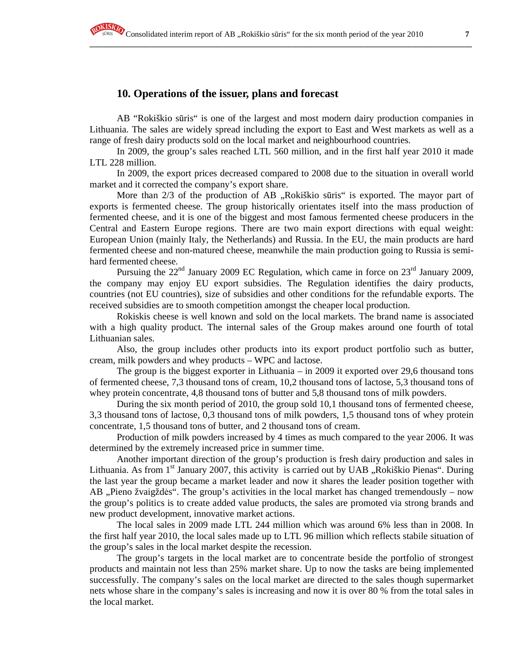# **10. Operations of the issuer, plans and forecast**

AB "Rokiškio sūris" is one of the largest and most modern dairy production companies in Lithuania. The sales are widely spread including the export to East and West markets as well as a range of fresh dairy products sold on the local market and neighbourhood countries.

**\_\_\_\_\_\_\_\_\_\_\_\_\_\_\_\_\_\_\_\_\_\_\_\_\_\_\_\_\_\_\_\_\_\_\_\_\_\_\_\_\_\_\_\_\_\_\_\_\_\_\_\_\_\_\_\_\_\_\_\_\_\_\_\_\_\_\_\_\_\_\_\_\_\_\_\_\_\_\_\_\_\_\_\_\_\_\_\_\_\_\_\_\_\_\_\_**

In 2009, the group's sales reached LTL 560 million, and in the first half year 2010 it made LTL 228 million.

In 2009, the export prices decreased compared to 2008 due to the situation in overall world market and it corrected the company's export share.

More than 2/3 of the production of AB "Rokiškio sūris" is exported. The mayor part of exports is fermented cheese. The group historically orientates itself into the mass production of fermented cheese, and it is one of the biggest and most famous fermented cheese producers in the Central and Eastern Europe regions. There are two main export directions with equal weight: European Union (mainly Italy, the Netherlands) and Russia. In the EU, the main products are hard fermented cheese and non-matured cheese, meanwhile the main production going to Russia is semihard fermented cheese.

Pursuing the  $22<sup>nd</sup>$  January 2009 EC Regulation, which came in force on  $23<sup>rd</sup>$  January 2009, the company may enjoy EU export subsidies. The Regulation identifies the dairy products, countries (not EU countries), size of subsidies and other conditions for the refundable exports. The received subsidies are to smooth competition amongst the cheaper local production.

Rokiskis cheese is well known and sold on the local markets. The brand name is associated with a high quality product. The internal sales of the Group makes around one fourth of total Lithuanian sales.

Also, the group includes other products into its export product portfolio such as butter, cream, milk powders and whey products – WPC and lactose.

The group is the biggest exporter in Lithuania – in 2009 it exported over 29,6 thousand tons of fermented cheese, 7,3 thousand tons of cream, 10,2 thousand tons of lactose, 5,3 thousand tons of whey protein concentrate, 4,8 thousand tons of butter and 5,8 thousand tons of milk powders.

During the six month period of 2010, the group sold 10,1 thousand tons of fermented cheese, 3,3 thousand tons of lactose, 0,3 thousand tons of milk powders, 1,5 thousand tons of whey protein concentrate, 1,5 thousand tons of butter, and 2 thousand tons of cream.

Production of milk powders increased by 4 times as much compared to the year 2006. It was determined by the extremely increased price in summer time.

Another important direction of the group's production is fresh dairy production and sales in Lithuania. As from  $1<sup>st</sup>$  January 2007, this activity is carried out by UAB "Rokiškio Pienas". During the last year the group became a market leader and now it shares the leader position together with AB "Pieno žvaigždės". The group's activities in the local market has changed tremendously – now the group's politics is to create added value products, the sales are promoted via strong brands and new product development, innovative market actions.

The local sales in 2009 made LTL 244 million which was around 6% less than in 2008. In the first half year 2010, the local sales made up to LTL 96 million which reflects stabile situation of the group's sales in the local market despite the recession.

The group's targets in the local market are to concentrate beside the portfolio of strongest products and maintain not less than 25% market share. Up to now the tasks are being implemented successfully. The company's sales on the local market are directed to the sales though supermarket nets whose share in the company's sales is increasing and now it is over 80 % from the total sales in the local market.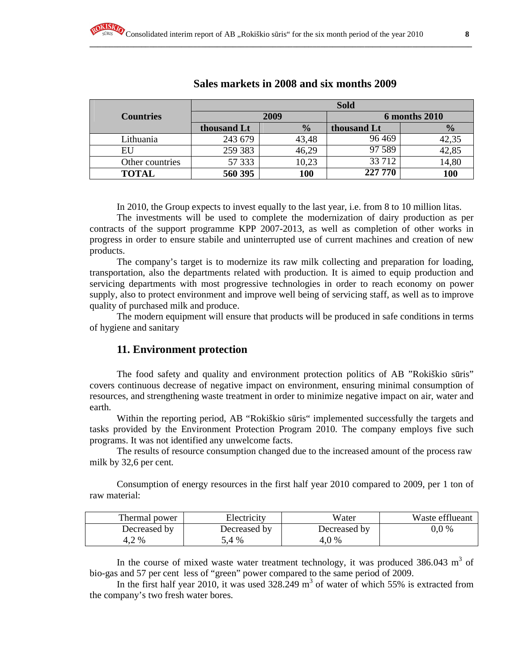|                  | <b>Sold</b> |               |             |               |  |
|------------------|-------------|---------------|-------------|---------------|--|
| <b>Countries</b> |             | 2009          |             | 6 months 2010 |  |
|                  | thousand Lt | $\frac{0}{0}$ | thousand Lt | $\frac{1}{2}$ |  |
| Lithuania        | 243 679     | 43,48         | 96469       | 42,35         |  |
| EU               | 259 383     | 46,29         | 97 589      | 42,85         |  |
| Other countries  | 57 333      | 10,23         | 33 7 12     | 14,80         |  |
| <b>TOTAL</b>     | 560 395     | 100           | 227 770     | 100           |  |

# **Sales markets in 2008 and six months 2009**

In 2010, the Group expects to invest equally to the last year, i.e. from 8 to 10 million litas.

The investments will be used to complete the modernization of dairy production as per contracts of the support programme KPP 2007-2013, as well as completion of other works in progress in order to ensure stabile and uninterrupted use of current machines and creation of new products.

The company's target is to modernize its raw milk collecting and preparation for loading, transportation, also the departments related with production. It is aimed to equip production and servicing departments with most progressive technologies in order to reach economy on power supply, also to protect environment and improve well being of servicing staff, as well as to improve quality of purchased milk and produce.

The modern equipment will ensure that products will be produced in safe conditions in terms of hygiene and sanitary

# **11. Environment protection**

The food safety and quality and environment protection politics of AB "Rokiškio sūris" covers continuous decrease of negative impact on environment, ensuring minimal consumption of resources, and strengthening waste treatment in order to minimize negative impact on air, water and earth.

Within the reporting period, AB "Rokiškio sūris" implemented successfully the targets and tasks provided by the Environment Protection Program 2010. The company employs five such programs. It was not identified any unwelcome facts.

The results of resource consumption changed due to the increased amount of the process raw milk by 32,6 per cent.

Consumption of energy resources in the first half year 2010 compared to 2009, per 1 ton of raw material:

| Thermal power | Electricity  | Water        | Waste efflueant |
|---------------|--------------|--------------|-----------------|
| Decreased by  | Decreased by | Decreased by | $0.0\%$         |
| 4,2%          | .4 %         | 4.0%         |                 |

In the course of mixed waste water treatment technology, it was produced  $386.043 \text{ m}^3$  of bio-gas and 57 per cent less of "green" power compared to the same period of 2009.

In the first half year 2010, it was used  $328.249 \text{ m}^3$  of water of which 55% is extracted from the company's two fresh water bores.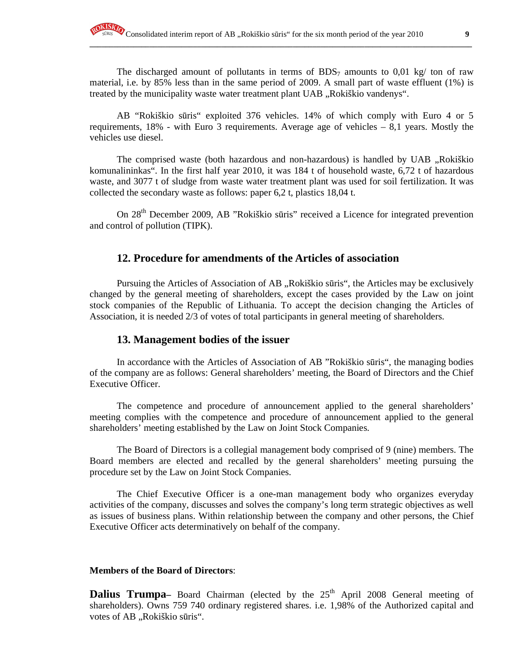The discharged amount of pollutants in terms of BDS<sub>7</sub> amounts to 0,01 kg/ ton of raw material, i.e. by 85% less than in the same period of 2009. A small part of waste effluent (1%) is treated by the municipality waste water treatment plant UAB "Rokiškio vandenys".

**\_\_\_\_\_\_\_\_\_\_\_\_\_\_\_\_\_\_\_\_\_\_\_\_\_\_\_\_\_\_\_\_\_\_\_\_\_\_\_\_\_\_\_\_\_\_\_\_\_\_\_\_\_\_\_\_\_\_\_\_\_\_\_\_\_\_\_\_\_\_\_\_\_\_\_\_\_\_\_\_\_\_\_\_\_\_\_\_\_\_\_\_\_\_\_\_**

AB "Rokiškio sūris" exploited 376 vehicles. 14% of which comply with Euro 4 or 5 requirements,  $18\%$  - with Euro 3 requirements. Average age of vehicles  $-8.1$  years. Mostly the vehicles use diesel.

The comprised waste (both hazardous and non-hazardous) is handled by UAB , Rokiškio komunalininkas". In the first half year 2010, it was 184 t of household waste, 6,72 t of hazardous waste, and 3077 t of sludge from waste water treatment plant was used for soil fertilization. It was collected the secondary waste as follows: paper 6,2 t, plastics 18,04 t.

On 28<sup>th</sup> December 2009, AB "Rokiškio sūris" received a Licence for integrated prevention and control of pollution (TIPK).

# **12. Procedure for amendments of the Articles of association**

Pursuing the Articles of Association of AB "Rokiškio sūris", the Articles may be exclusively changed by the general meeting of shareholders, except the cases provided by the Law on joint stock companies of the Republic of Lithuania. To accept the decision changing the Articles of Association, it is needed 2/3 of votes of total participants in general meeting of shareholders.

# **13. Management bodies of the issuer**

In accordance with the Articles of Association of AB "Rokiškio sūris", the managing bodies of the company are as follows: General shareholders' meeting, the Board of Directors and the Chief Executive Officer.

The competence and procedure of announcement applied to the general shareholders' meeting complies with the competence and procedure of announcement applied to the general shareholders' meeting established by the Law on Joint Stock Companies.

The Board of Directors is a collegial management body comprised of 9 (nine) members. The Board members are elected and recalled by the general shareholders' meeting pursuing the procedure set by the Law on Joint Stock Companies.

The Chief Executive Officer is a one-man management body who organizes everyday activities of the company, discusses and solves the company's long term strategic objectives as well as issues of business plans. Within relationship between the company and other persons, the Chief Executive Officer acts determinatively on behalf of the company.

#### **Members of the Board of Directors**:

**Dalius Trumpa**– Board Chairman (elected by the 25<sup>th</sup> April 2008 General meeting of shareholders). Owns 759 740 ordinary registered shares. i.e. 1,98% of the Authorized capital and votes of AB "Rokiškio sūris".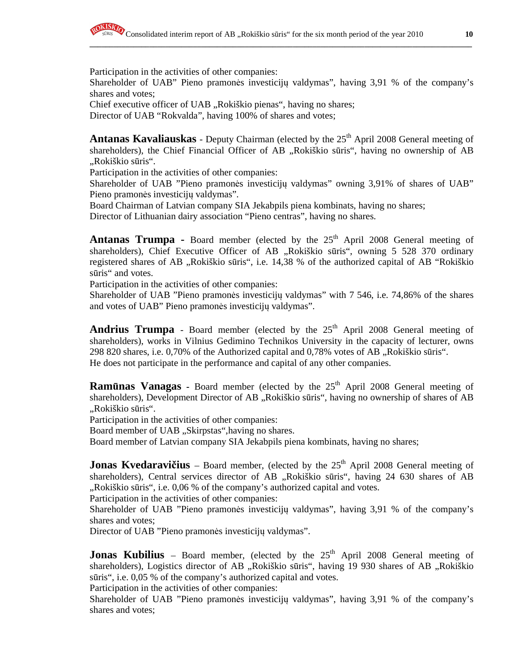Participation in the activities of other companies:

Shareholder of UAB" Pieno pramonės investicijų valdymas", having 3,91 % of the company's shares and votes;

Chief executive officer of UAB "Rokiškio pienas", having no shares;

Director of UAB "Rokvalda", having 100% of shares and votes;

**Antanas Kavaliauskas** - Deputy Chairman (elected by the 25<sup>th</sup> April 2008 General meeting of shareholders), the Chief Financial Officer of AB "Rokiškio sūris", having no ownership of AB "Rokiškio sūris".

Participation in the activities of other companies:

Shareholder of UAB "Pieno pramonės investicijų valdymas" owning 3,91% of shares of UAB" Pieno pramonės investicijų valdymas".

Board Chairman of Latvian company SIA Jekabpils piena kombinats, having no shares;

Director of Lithuanian dairy association "Pieno centras", having no shares.

Antanas Trumpa - Board member (elected by the 25<sup>th</sup> April 2008 General meeting of shareholders), Chief Executive Officer of AB "Rokiškio sūris", owning 5 528 370 ordinary registered shares of AB "Rokiškio sūris", i.e. 14,38 % of the authorized capital of AB "Rokiškio sūris" and votes.

Participation in the activities of other companies:

Shareholder of UAB "Pieno pramonės investicijų valdymas" with 7 546, i.e. 74,86% of the shares and votes of UAB" Pieno pramonės investicijų valdymas".

**Andrius Trumpa** - Board member (elected by the  $25<sup>th</sup>$  April 2008 General meeting of shareholders), works in Vilnius Gedimino Technikos University in the capacity of lecturer, owns  $298820$  shares, i.e. 0,70% of the Authorized capital and 0,78% votes of AB  $,$ Rokiškio sūris". He does not participate in the performance and capital of any other companies.

**Ramūnas Vanagas** - Board member (elected by the 25<sup>th</sup> April 2008 General meeting of shareholders), Development Director of AB "Rokiškio sūris", having no ownership of shares of AB "Rokiškio sūris".

Participation in the activities of other companies:

Board member of UAB "Skirpstas", having no shares.

Board member of Latvian company SIA Jekabpils piena kombinats, having no shares;

**Jonas Kvedaravičius** – Board member, (elected by the 25<sup>th</sup> April 2008 General meeting of shareholders), Central services director of AB "Rokiškio sūris", having 24 630 shares of AB "Rokiškio sūris", i.e. 0,06 % of the company's authorized capital and votes.

Participation in the activities of other companies:

Shareholder of UAB "Pieno pramonės investicijų valdymas", having 3,91 % of the company's shares and votes;

Director of UAB "Pieno pramonės investicijų valdymas".

**Jonas Kubilius** – Board member, (elected by the  $25<sup>th</sup>$  April 2008 General meeting of shareholders), Logistics director of AB "Rokiškio sūris", having 19 930 shares of AB "Rokiškio sūris", i.e. 0,05 % of the company's authorized capital and votes.

Participation in the activities of other companies:

Shareholder of UAB "Pieno pramonės investicijų valdymas", having 3,91 % of the company's shares and votes;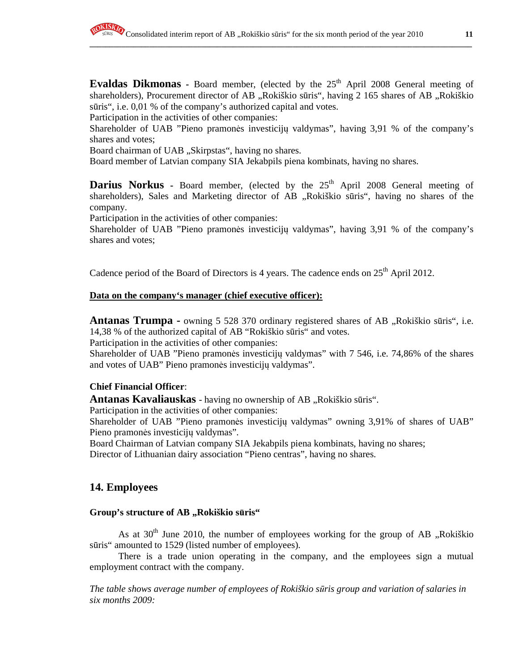**Evaldas Dikmonas** - Board member, (elected by the 25<sup>th</sup> April 2008 General meeting of shareholders), Procurement director of AB "Rokiškio sūris", having 2 165 shares of AB "Rokiškio sūris", i.e. 0,01 % of the company's authorized capital and votes.

**\_\_\_\_\_\_\_\_\_\_\_\_\_\_\_\_\_\_\_\_\_\_\_\_\_\_\_\_\_\_\_\_\_\_\_\_\_\_\_\_\_\_\_\_\_\_\_\_\_\_\_\_\_\_\_\_\_\_\_\_\_\_\_\_\_\_\_\_\_\_\_\_\_\_\_\_\_\_\_\_\_\_\_\_\_\_\_\_\_\_\_\_\_\_\_\_**

Participation in the activities of other companies:

Shareholder of UAB "Pieno pramonės investicijų valdymas", having 3,91 % of the company's shares and votes;

Board chairman of UAB "Skirpstas", having no shares.

Board member of Latvian company SIA Jekabpils piena kombinats, having no shares.

**Darius Norkus** - Board member, (elected by the 25<sup>th</sup> April 2008 General meeting of shareholders), Sales and Marketing director of AB "Rokiškio sūris", having no shares of the company.

Participation in the activities of other companies:

Shareholder of UAB "Pieno pramonės investicijų valdymas", having 3,91 % of the company's shares and votes;

Cadence period of the Board of Directors is 4 years. The cadence ends on  $25<sup>th</sup>$  April 2012.

### **Data on the company's manager (chief executive officer):**

**Antanas Trumpa -** owning 5 528 370 ordinary registered shares of AB "Rokiškio sūris", i.e. 14,38 % of the authorized capital of AB "Rokiškio sūris" and votes.

Participation in the activities of other companies:

Shareholder of UAB "Pieno pramonės investicijų valdymas" with 7 546, i.e. 74,86% of the shares and votes of UAB" Pieno pramonės investicijų valdymas".

# **Chief Financial Officer**:

**Antanas Kavaliauskas** - having no ownership of AB "Rokiškio sūris".

Participation in the activities of other companies:

Shareholder of UAB "Pieno pramonės investicijų valdymas" owning 3,91% of shares of UAB" Pieno pramonės investicijų valdymas".

Board Chairman of Latvian company SIA Jekabpils piena kombinats, having no shares;

Director of Lithuanian dairy association "Pieno centras", having no shares.

# **14. Employees**

### Group's structure of AB ,,Rokiškio sūris"

As at  $30<sup>th</sup>$  June 2010, the number of employees working for the group of AB , Rokiškio sūris" amounted to 1529 (listed number of employees).

There is a trade union operating in the company, and the employees sign a mutual employment contract with the company.

*The table shows average number of employees of Rokiškio s*ū*ris group and variation of salaries in six months 2009:*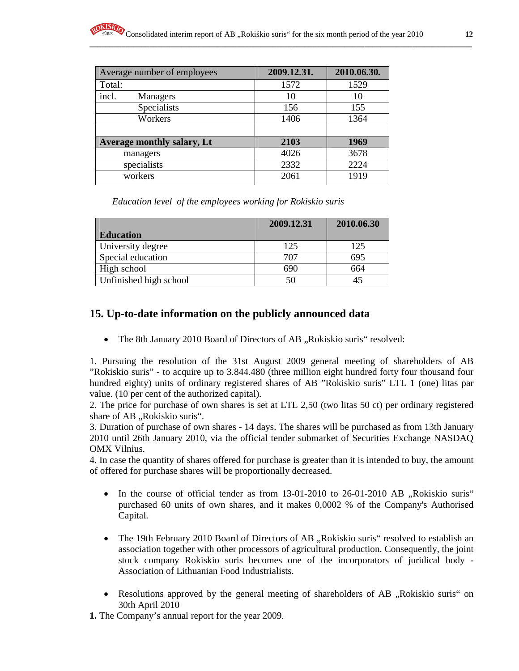| Average number of employees | 2009.12.31. | 2010.06.30. |
|-----------------------------|-------------|-------------|
| Total:                      | 1572        | 1529        |
| incl.<br>Managers           | 10          | 10          |
| Specialists                 | 156         | 155         |
| Workers                     | 1406        | 1364        |
|                             |             |             |
| Average monthly salary, Lt  | 2103        | 1969        |
| managers                    | 4026        | 3678        |
| specialists                 | 2332        | 2224        |
| workers                     | 2061        | 1919        |

*Education level of the employees working for Rokiskio suris* 

|                        | 2009.12.31 | 2010.06.30 |
|------------------------|------------|------------|
| <b>Education</b>       |            |            |
| University degree      | 125        | 125        |
| Special education      | 707        | 695        |
| High school            | 690        | 664        |
| Unfinished high school | 50         |            |

# **15. Up-to-date information on the publicly announced data**

• The 8th January 2010 Board of Directors of AB, Rokiskio suris" resolved:

1. Pursuing the resolution of the 31st August 2009 general meeting of shareholders of AB "Rokiskio suris" - to acquire up to 3.844.480 (three million eight hundred forty four thousand four hundred eighty) units of ordinary registered shares of AB "Rokiskio suris" LTL 1 (one) litas par value. (10 per cent of the authorized capital).

2. The price for purchase of own shares is set at LTL 2,50 (two litas 50 ct) per ordinary registered share of AB "Rokiskio suris".

3. Duration of purchase of own shares - 14 days. The shares will be purchased as from 13th January 2010 until 26th January 2010, via the official tender submarket of Securities Exchange NASDAQ OMX Vilnius.

4. In case the quantity of shares offered for purchase is greater than it is intended to buy, the amount of offered for purchase shares will be proportionally decreased.

- In the course of official tender as from  $13-01-2010$  to  $26-01-2010$  AB  $\ldots$  Rokiskio suris" purchased 60 units of own shares, and it makes 0,0002 % of the Company's Authorised Capital.
- The 19th February 2010 Board of Directors of AB "Rokiskio suris" resolved to establish an association together with other processors of agricultural production. Consequently, the joint stock company Rokiskio suris becomes one of the incorporators of juridical body - Association of Lithuanian Food Industrialists.
- Resolutions approved by the general meeting of shareholders of AB "Rokiskio suris" on 30th April 2010
- **1.** The Company's annual report for the year 2009.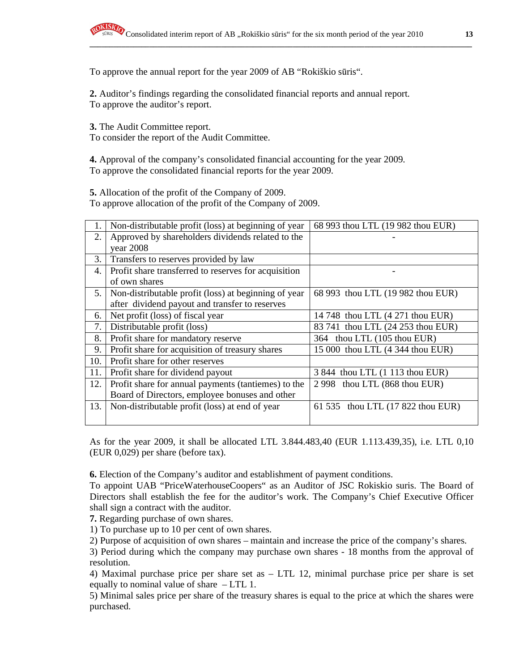To approve the annual report for the year 2009 of AB "Rokiškio sūris".

**2.** Auditor's findings regarding the consolidated financial reports and annual report. To approve the auditor's report.

**3.** The Audit Committee report.

To consider the report of the Audit Committee.

**4.** Approval of the company's consolidated financial accounting for the year 2009. To approve the consolidated financial reports for the year 2009.

**5.** Allocation of the profit of the Company of 2009.

To approve allocation of the profit of the Company of 2009.

| 1.  | Non-distributable profit (loss) at beginning of year | 68 993 thou LTL (19 982 thou EUR) |
|-----|------------------------------------------------------|-----------------------------------|
| 2.  | Approved by shareholders dividends related to the    |                                   |
|     | year 2008                                            |                                   |
| 3.  | Transfers to reserves provided by law                |                                   |
| 4.  | Profit share transferred to reserves for acquisition |                                   |
|     | of own shares                                        |                                   |
| 5.  | Non-distributable profit (loss) at beginning of year | 68 993 thou LTL (19 982 thou EUR) |
|     | after dividend payout and transfer to reserves       |                                   |
| 6.  | Net profit (loss) of fiscal year                     | 14 748 thou LTL (4 271 thou EUR)  |
| 7.  | Distributable profit (loss)                          | 83 741 thou LTL (24 253 thou EUR) |
| 8.  | Profit share for mandatory reserve                   | thou LTL (105 thou EUR)<br>364    |
| 9.  | Profit share for acquisition of treasury shares      | 15 000 thou LTL (4 344 thou EUR)  |
| 10. | Profit share for other reserves                      |                                   |
| 11. | Profit share for dividend payout                     | 3 844 thou LTL (1 113 thou EUR)   |
| 12. | Profit share for annual payments (tantiemes) to the  | 2 998 thou LTL (868 thou EUR)     |
|     | Board of Directors, employee bonuses and other       |                                   |
| 13. | Non-distributable profit (loss) at end of year       | 61 535 thou LTL (17 822 thou EUR) |
|     |                                                      |                                   |

As for the year 2009, it shall be allocated LTL 3.844.483,40 (EUR 1.113.439,35), i.e. LTL 0,10 (EUR 0,029) per share (before tax).

**6.** Election of the Company's auditor and establishment of payment conditions.

To appoint UAB "PriceWaterhouseCoopers" as an Auditor of JSC Rokiskio suris. The Board of Directors shall establish the fee for the auditor's work. The Company's Chief Executive Officer shall sign a contract with the auditor.

**7.** Regarding purchase of own shares.

1) To purchase up to 10 per cent of own shares.

2) Purpose of acquisition of own shares – maintain and increase the price of the company's shares.

3) Period during which the company may purchase own shares - 18 months from the approval of resolution.

4) Maximal purchase price per share set as – LTL 12, minimal purchase price per share is set equally to nominal value of share – LTL 1.

5) Minimal sales price per share of the treasury shares is equal to the price at which the shares were purchased.